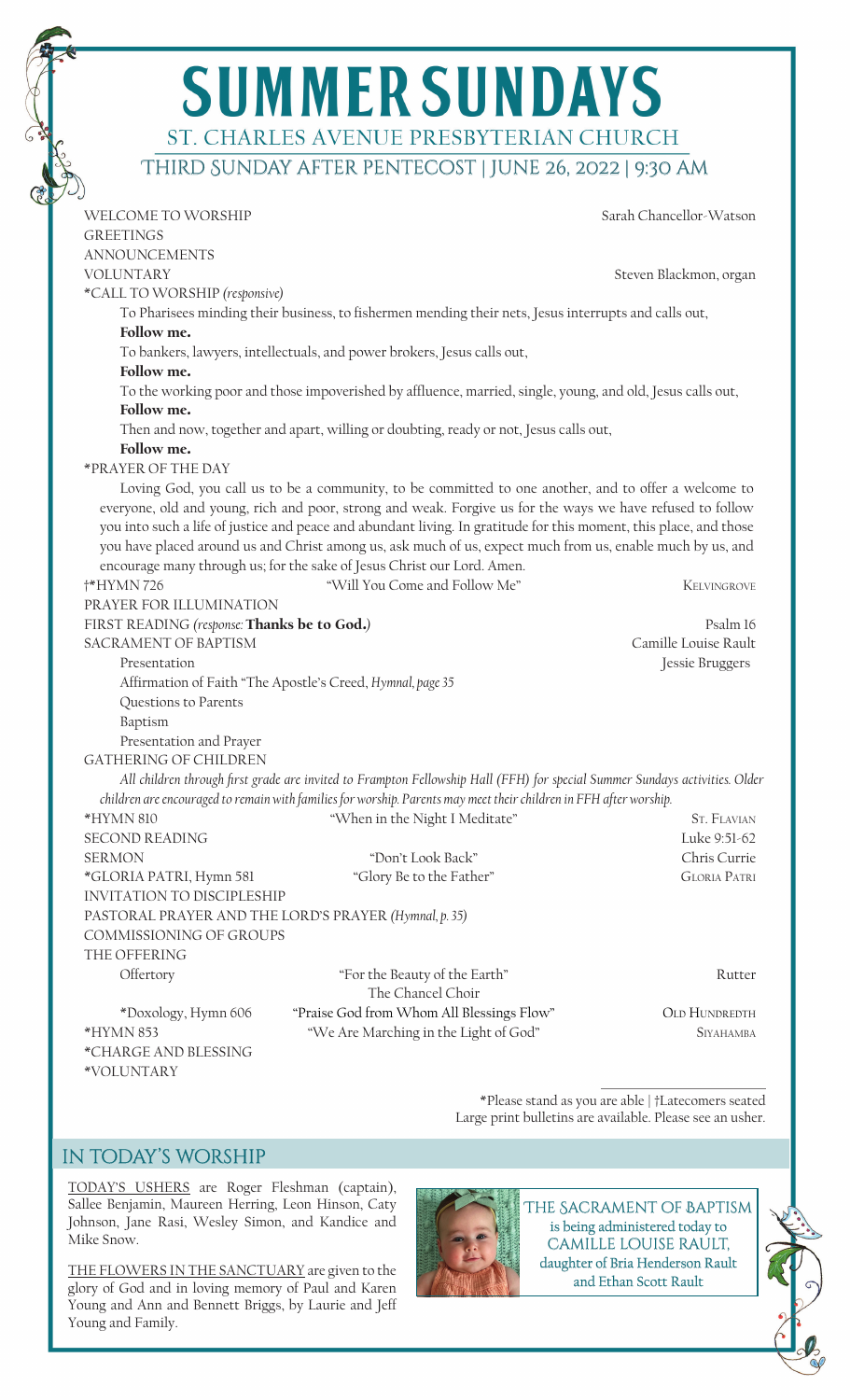|                                             | <b>SUMMER SUNDAYS</b>                                                                                                       |                         |
|---------------------------------------------|-----------------------------------------------------------------------------------------------------------------------------|-------------------------|
|                                             | ST. CHARLES AVENUE PRESBYTERIAN CHURCH                                                                                      |                         |
|                                             | THIRD SUNDAY AFTER PENTECOST   JUNE 26, 2022   9:30 AM                                                                      |                         |
| WELCOME TO WORSHIP                          |                                                                                                                             | Sarah Chancellor-Watson |
| <b>GREETINGS</b>                            |                                                                                                                             |                         |
| <b>ANNOUNCEMENTS</b>                        |                                                                                                                             |                         |
| <b>VOLUNTARY</b>                            |                                                                                                                             | Steven Blackmon, organ  |
| *CALL TO WORSHIP (responsive)               |                                                                                                                             |                         |
| Follow me.                                  | To Pharisees minding their business, to fishermen mending their nets, Jesus interrupts and calls out,                       |                         |
|                                             | To bankers, lawyers, intellectuals, and power brokers, Jesus calls out,                                                     |                         |
| Follow me.                                  |                                                                                                                             |                         |
|                                             | To the working poor and those impoverished by affluence, married, single, young, and old, Jesus calls out,                  |                         |
| Follow me.                                  |                                                                                                                             |                         |
|                                             | Then and now, together and apart, willing or doubting, ready or not, Jesus calls out,                                       |                         |
| Follow me.                                  |                                                                                                                             |                         |
| *PRAYER OF THE DAY                          |                                                                                                                             |                         |
|                                             | Loving God, you call us to be a community, to be committed to one another, and to offer a welcome to                        |                         |
|                                             | everyone, old and young, rich and poor, strong and weak. Forgive us for the ways we have refused to follow                  |                         |
|                                             | you into such a life of justice and peace and abundant living. In gratitude for this moment, this place, and those          |                         |
|                                             | you have placed around us and Christ among us, ask much of us, expect much from us, enable much by us, and                  |                         |
|                                             | encourage many through us; for the sake of Jesus Christ our Lord. Amen.                                                     |                         |
| <b>†*HYMN726</b>                            | "Will You Come and Follow Me"                                                                                               | KELVINGROVE             |
| PRAYER FOR ILLUMINATION                     |                                                                                                                             |                         |
| FIRST READING (response: Thanks be to God.) |                                                                                                                             | Psalm 16                |
| <b>SACRAMENT OF BAPTISM</b>                 |                                                                                                                             | Camille Louise Rault    |
| Presentation                                |                                                                                                                             | Jessie Bruggers         |
|                                             | Affirmation of Faith "The Apostle's Creed, Hymnal, page 35                                                                  |                         |
| Questions to Parents                        |                                                                                                                             |                         |
| Baptism<br>Presentation and Prayer          |                                                                                                                             |                         |
| <b>GATHERING OF CHILDREN</b>                |                                                                                                                             |                         |
|                                             | All children through first grade are invited to Frampton Fellowship Hall (FFH) for special Summer Sundays activities. Older |                         |
|                                             | children are encouraged to remain with families for worship. Parents may meet their children in FFH after worship.          |                         |
| *HYMN 810                                   | "When in the Night I Meditate"                                                                                              | <b>ST. FLAVIAN</b>      |
| <b>SECOND READING</b>                       |                                                                                                                             | Luke 9:51-62            |
| <b>SERMON</b>                               | "Don't Look Back"                                                                                                           | Chris Currie            |
| *GLORIA PATRI, Hymn 581                     | "Glory Be to the Father"                                                                                                    | <b>GLORIA PATRI</b>     |
| <b>INVITATION TO DISCIPLESHIP</b>           |                                                                                                                             |                         |
|                                             | PASTORAL PRAYER AND THE LORD'S PRAYER (Hymnal, p. 35)                                                                       |                         |
| COMMISSIONING OF GROUPS                     |                                                                                                                             |                         |
| THE OFFERING                                |                                                                                                                             |                         |
| Offertory                                   | "For the Beauty of the Earth"                                                                                               | Rutter                  |
|                                             | The Chancel Choir                                                                                                           |                         |
| *Doxology, Hymn 606                         | "Praise God from Whom All Blessings Flow"                                                                                   | <b>OLD HUNDREDTH</b>    |
| *HYMN 853                                   | "We Are Marching in the Light of God"                                                                                       | <b>SIYAHAMBA</b>        |
| *CHARGE AND BLESSING<br>*VOLUNTARY          |                                                                                                                             |                         |

\*Please stand as you are able | †Latecomers seated Large print bulletins are available. Please see an usher.

## in today's worship

TODAY'S USHERS are Roger Fleshman (captain), Sallee Benjamin, Maureen Herring, Leon Hinson, Caty Johnson, Jane Rasi, Wesley Simon, and Kandice and Mike Snow.

THE FLOWERS IN THE SANCTUARY are given to the glory of God and in loving memory of Paul and Karen Young and Ann and Bennett Briggs, by Laurie and Jeff Young and Family.



The Sacrament of Baptism is being administered today to camille louise rault, daughter of Bria Henderson Rault and Ethan Scott Rault